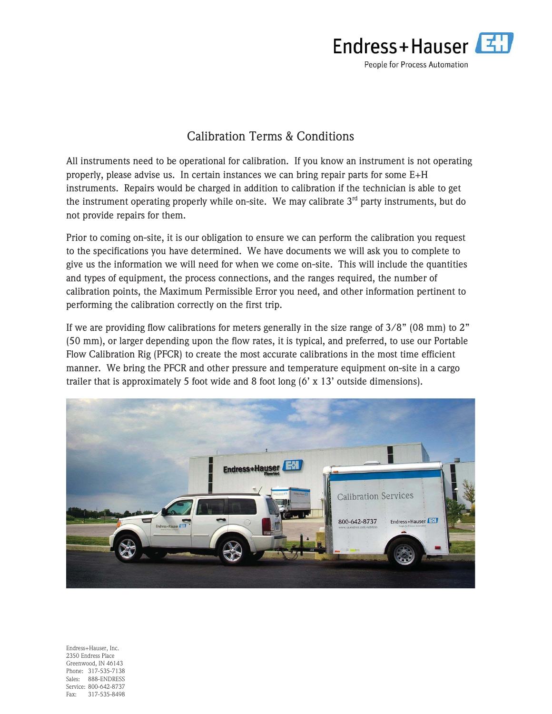

## Calibration Terms & Conditions

All instruments need to be operational for calibration. If you know an instrument is not operating properly, please advise us. In certain instances we can bring repair parts for some E+H instruments. Repairs would be charged in addition to calibration if the technician is able to get the instrument operating properly while on-site. We may calibrate  $3<sup>rd</sup>$  party instruments, but do not provide repairs for them.

Prior to coming on-site, it is our obligation to ensure we can perform the calibration you request to the specifications you have determined. We have documents we will ask you to complete to give us the information we will need for when we come on-site. This will include the quantities and types of equipment, the process connections, and the ranges required, the number of calibration points, the Maximum Permissible Error you need, and other information pertinent to performing the calibration correctly on the first trip.

If we are providing flow calibrations for meters generally in the size range of 3/8" (08 mm) to 2" (50 mm), or larger depending upon the flow rates, it is typical, and preferred, to use our Portable Flow Calibration Rig (PFCR) to create the most accurate calibrations in the most time efficient manner. We bring the PFCR and other pressure and temperature equipment on-site in a cargo trailer that is approximately 5 foot wide and 8 foot long (6' x 13' outside dimensions).



Endress+Hauser, Inc. 2350 Endress Place Greenwood, IN 46143 Phone: 317-535-7138 Sales: 888-ENDRESS Service: 800-642-8737 Fax: 317-535-8498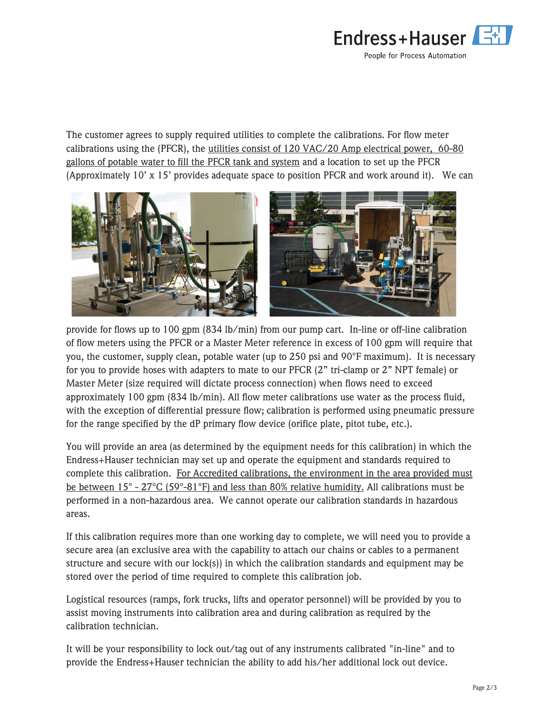

The customer agrees to supply required utilities to complete the calibrations. For flow meter calibrations using the (PFCR), the utilities consist of 120 VAC/20 Amp electrical power, 60-80 gallons of potable water to fill the PFCR tank and system and a location to set up the PFCR (Approximately 10' x 15' provides adequate space to position PFCR and work around it). We can



provide for flows up to 100 gpm (834 lb/min) from our pump cart. In-line or off-line calibration of flow meters using the PFCR or a Master Meter reference in excess of 100 gpm will require that you, the customer, supply clean, potable water (up to 250 psi and 90°F maximum). It is necessary for you to provide hoses with adapters to mate to our PFCR (2" tri-clamp or 2" NPT female) or Master Meter (size required will dictate process connection) when flows need to exceed approximately 100 gpm (834 lb/min). All flow meter calibrations use water as the process fluid, with the exception of differential pressure flow; calibration is performed using pneumatic pressure for the range specified by the dP primary flow device (orifice plate, pitot tube, etc.).

You will provide an area (as determined by the equipment needs for this calibration) in which the Endress+Hauser technician may set up and operate the equipment and standards required to complete this calibration. For Accredited calibrations, the environment in the area provided must be between 15° - 27°C (59°-81°F) and less than 80% relative humidity. All calibrations must be performed in a non-hazardous area. We cannot operate our calibration standards in hazardous areas.

If this calibration requires more than one working day to complete, we will need you to provide a secure area (an exclusive area with the capability to attach our chains or cables to a permanent structure and secure with our lock(s)) in which the calibration standards and equipment may be stored over the period of time required to complete this calibration job.

Logistical resources (ramps, fork trucks, lifts and operator personnel) will be provided by you to assist moving instruments into calibration area and during calibration as required by the calibration technician.

It will be your responsibility to lock out/tag out of any instruments calibrated "in-line" and to provide the Endress+Hauser technician the ability to add his/her additional lock out device.